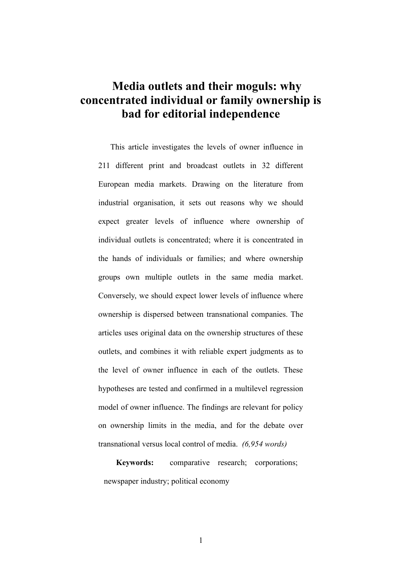# **Media outlets and their moguls: why concentrated individual or family ownership is bad for editorial independence**

This article investigates the levels of owner influence in 211 different print and broadcast outlets in 32 different European media markets. Drawing on the literature from industrial organisation, it sets out reasons why we should expect greater levels of influence where ownership of individual outlets is concentrated; where it is concentrated in the hands of individuals or families; and where ownership groups own multiple outlets in the same media market. Conversely, we should expect lower levels of influence where ownership is dispersed between transnational companies. The articles uses original data on the ownership structures of these outlets, and combines it with reliable expert judgments as to the level of owner influence in each of the outlets. These hypotheses are tested and confirmed in a multilevel regression model of owner influence. The findings are relevant for policy on ownership limits in the media, and for the debate over transnational versus local control of media. *(6,954 words)*

**Keywords:** comparative research; corporations; newspaper industry; political economy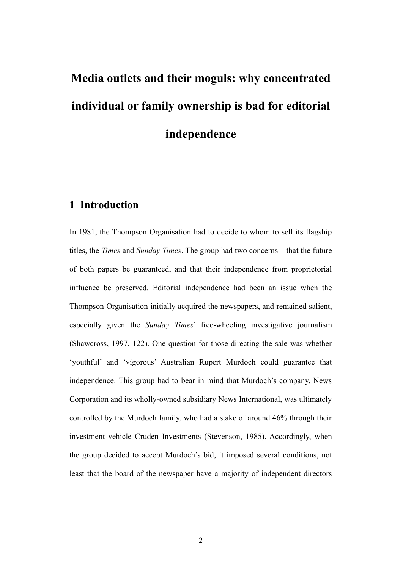# **Media outlets and their moguls: why concentrated individual or family ownership is bad for editorial independence**

# **1 Introduction**

In 1981, the Thompson Organisation had to decide to whom to sell its flagship titles, the *Times* and *Sunday Times*. The group had two concerns – that the future of both papers be guaranteed, and that their independence from proprietorial influence be preserved. Editorial independence had been an issue when the Thompson Organisation initially acquired the newspapers, and remained salient, especially given the *Sunday Times*' free-wheeling investigative journalism (Shawcross, 1997, 122). One question for those directing the sale was whether 'youthful' and 'vigorous' Australian Rupert Murdoch could guarantee that independence. This group had to bear in mind that Murdoch's company, News Corporation and its wholly-owned subsidiary News International, was ultimately controlled by the Murdoch family, who had a stake of around 46% through their investment vehicle Cruden Investments (Stevenson, 1985). Accordingly, when the group decided to accept Murdoch's bid, it imposed several conditions, not least that the board of the newspaper have a majority of independent directors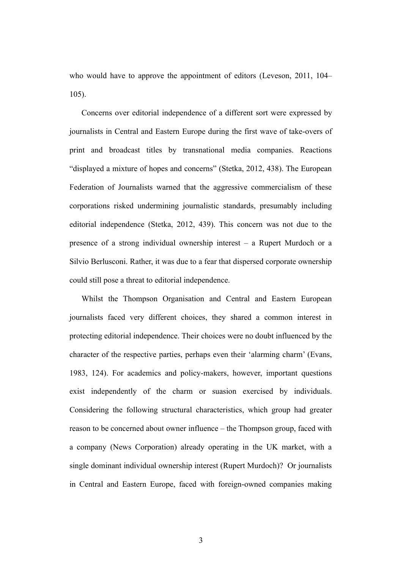who would have to approve the appointment of editors (Leveson, 2011, 104– 105).

Concerns over editorial independence of a different sort were expressed by journalists in Central and Eastern Europe during the first wave of take-overs of print and broadcast titles by transnational media companies. Reactions "displayed a mixture of hopes and concerns" (Stetka, 2012, 438). The European Federation of Journalists warned that the aggressive commercialism of these corporations risked undermining journalistic standards, presumably including editorial independence (Stetka, 2012, 439). This concern was not due to the presence of a strong individual ownership interest – a Rupert Murdoch or a Silvio Berlusconi. Rather, it was due to a fear that dispersed corporate ownership could still pose a threat to editorial independence.

Whilst the Thompson Organisation and Central and Eastern European journalists faced very different choices, they shared a common interest in protecting editorial independence. Their choices were no doubt influenced by the character of the respective parties, perhaps even their 'alarming charm' (Evans, 1983, 124). For academics and policy-makers, however, important questions exist independently of the charm or suasion exercised by individuals. Considering the following structural characteristics, which group had greater reason to be concerned about owner influence – the Thompson group, faced with a company (News Corporation) already operating in the UK market, with a single dominant individual ownership interest (Rupert Murdoch)? Or journalists in Central and Eastern Europe, faced with foreign-owned companies making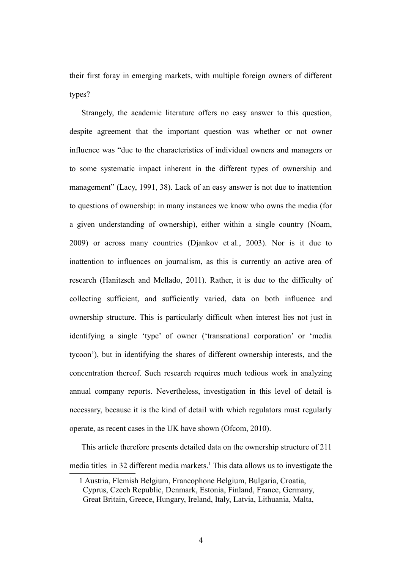their first foray in emerging markets, with multiple foreign owners of different types?

Strangely, the academic literature offers no easy answer to this question, despite agreement that the important question was whether or not owner influence was "due to the characteristics of individual owners and managers or to some systematic impact inherent in the different types of ownership and management" (Lacy, 1991, 38). Lack of an easy answer is not due to inattention to questions of ownership: in many instances we know who owns the media (for a given understanding of ownership), either within a single country (Noam, 2009) or across many countries (Djankov et al., 2003). Nor is it due to inattention to influences on journalism, as this is currently an active area of research (Hanitzsch and Mellado, 2011). Rather, it is due to the difficulty of collecting sufficient, and sufficiently varied, data on both influence and ownership structure. This is particularly difficult when interest lies not just in identifying a single 'type' of owner ('transnational corporation' or 'media tycoon'), but in identifying the shares of different ownership interests, and the concentration thereof. Such research requires much tedious work in analyzing annual company reports. Nevertheless, investigation in this level of detail is necessary, because it is the kind of detail with which regulators must regularly operate, as recent cases in the UK have shown (Ofcom, 2010).

This article therefore presents detailed data on the ownership structure of 211 media titles in 32 different media markets.<sup>[1](#page-3-0)</sup> This data allows us to investigate the

<span id="page-3-0"></span><sup>1</sup> Austria, Flemish Belgium, Francophone Belgium, Bulgaria, Croatia, Cyprus, Czech Republic, Denmark, Estonia, Finland, France, Germany, Great Britain, Greece, Hungary, Ireland, Italy, Latvia, Lithuania, Malta,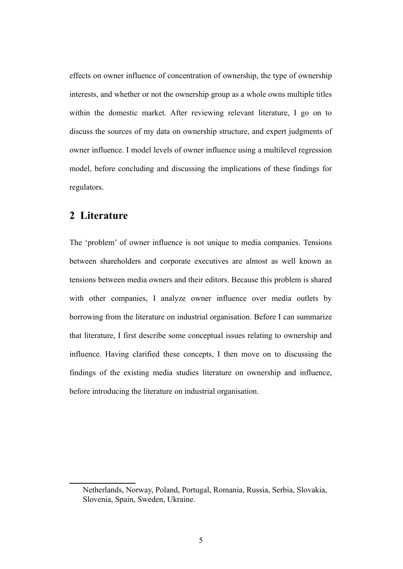effects on owner influence of concentration of ownership, the type of ownership interests, and whether or not the ownership group as a whole owns multiple titles within the domestic market. After reviewing relevant literature, I go on to discuss the sources of my data on ownership structure, and expert judgments of owner influence. I model levels of owner influence using a multilevel regression model, before concluding and discussing the implications of these findings for regulators.

#### **2 Literature**

The 'problem' of owner influence is not unique to media companies. Tensions between shareholders and corporate executives are almost as well known as tensions between media owners and their editors. Because this problem is shared with other companies, I analyze owner influence over media outlets by borrowing from the literature on industrial organisation. Before I can summarize that literature, I first describe some conceptual issues relating to ownership and influence. Having clarified these concepts, I then move on to discussing the findings of the existing media studies literature on ownership and influence, before introducing the literature on industrial organisation.

Netherlands, Norway, Poland, Portugal, Romania, Russia, Serbia, Slovakia, Slovenia, Spain, Sweden, Ukraine.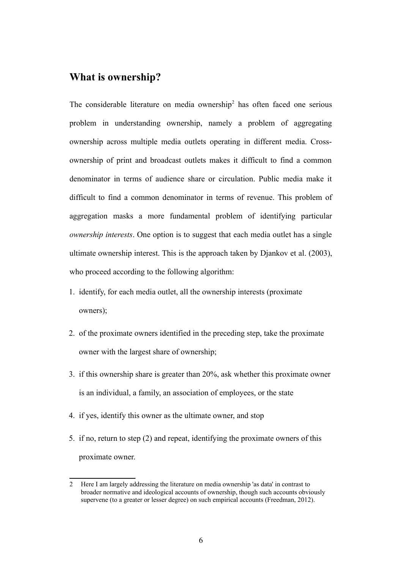#### **What is ownership?**

The considerable literature on media ownership<sup>[2](#page-5-0)</sup> has often faced one serious problem in understanding ownership, namely a problem of aggregating ownership across multiple media outlets operating in different media. Crossownership of print and broadcast outlets makes it difficult to find a common denominator in terms of audience share or circulation. Public media make it difficult to find a common denominator in terms of revenue. This problem of aggregation masks a more fundamental problem of identifying particular *ownership interests*. One option is to suggest that each media outlet has a single ultimate ownership interest. This is the approach taken by Djankov et al. (2003), who proceed according to the following algorithm:

- 1. identify, for each media outlet, all the ownership interests (proximate owners);
- 2. of the proximate owners identified in the preceding step, take the proximate owner with the largest share of ownership;
- 3. if this ownership share is greater than 20%, ask whether this proximate owner is an individual, a family, an association of employees, or the state
- 4. if yes, identify this owner as the ultimate owner, and stop
- 5. if no, return to step (2) and repeat, identifying the proximate owners of this proximate owner.

<span id="page-5-0"></span><sup>2</sup> Here I am largely addressing the literature on media ownership 'as data' in contrast to broader normative and ideological accounts of ownership, though such accounts obviously supervene (to a greater or lesser degree) on such empirical accounts (Freedman, 2012).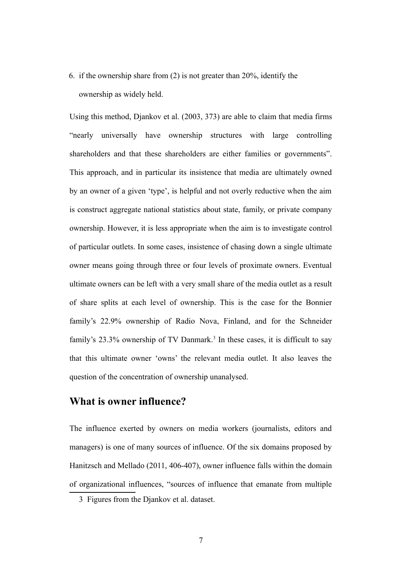6. if the ownership share from (2) is not greater than 20%, identify the ownership as widely held.

Using this method, Djankov et al. (2003, 373) are able to claim that media firms "nearly universally have ownership structures with large controlling shareholders and that these shareholders are either families or governments". This approach, and in particular its insistence that media are ultimately owned by an owner of a given 'type', is helpful and not overly reductive when the aim is construct aggregate national statistics about state, family, or private company ownership. However, it is less appropriate when the aim is to investigate control of particular outlets. In some cases, insistence of chasing down a single ultimate owner means going through three or four levels of proximate owners. Eventual ultimate owners can be left with a very small share of the media outlet as a result of share splits at each level of ownership. This is the case for the Bonnier family's 22.9% ownership of Radio Nova, Finland, and for the Schneider family's 2[3](#page-6-0).3% ownership of TV Danmark.<sup>3</sup> In these cases, it is difficult to say that this ultimate owner 'owns' the relevant media outlet. It also leaves the question of the concentration of ownership unanalysed.

#### **What is owner influence?**

The influence exerted by owners on media workers (journalists, editors and managers) is one of many sources of influence. Of the six domains proposed by Hanitzsch and Mellado (2011, 406-407), owner influence falls within the domain of organizational influences, "sources of influence that emanate from multiple

<span id="page-6-0"></span><sup>3</sup> Figures from the Djankov et al. dataset.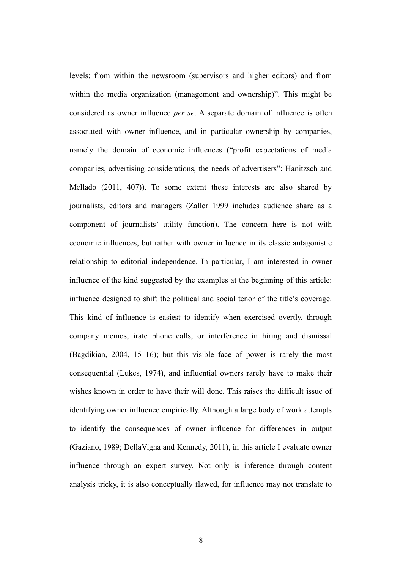levels: from within the newsroom (supervisors and higher editors) and from within the media organization (management and ownership)". This might be considered as owner influence *per se*. A separate domain of influence is often associated with owner influence, and in particular ownership by companies, namely the domain of economic influences ("profit expectations of media companies, advertising considerations, the needs of advertisers": Hanitzsch and Mellado (2011, 407)). To some extent these interests are also shared by journalists, editors and managers (Zaller 1999 includes audience share as a component of journalists' utility function). The concern here is not with economic influences, but rather with owner influence in its classic antagonistic relationship to editorial independence. In particular, I am interested in owner influence of the kind suggested by the examples at the beginning of this article: influence designed to shift the political and social tenor of the title's coverage. This kind of influence is easiest to identify when exercised overtly, through company memos, irate phone calls, or interference in hiring and dismissal (Bagdikian, 2004, 15–16); but this visible face of power is rarely the most consequential (Lukes, 1974), and influential owners rarely have to make their wishes known in order to have their will done. This raises the difficult issue of identifying owner influence empirically. Although a large body of work attempts to identify the consequences of owner influence for differences in output (Gaziano, 1989; DellaVigna and Kennedy, 2011), in this article I evaluate owner influence through an expert survey. Not only is inference through content analysis tricky, it is also conceptually flawed, for influence may not translate to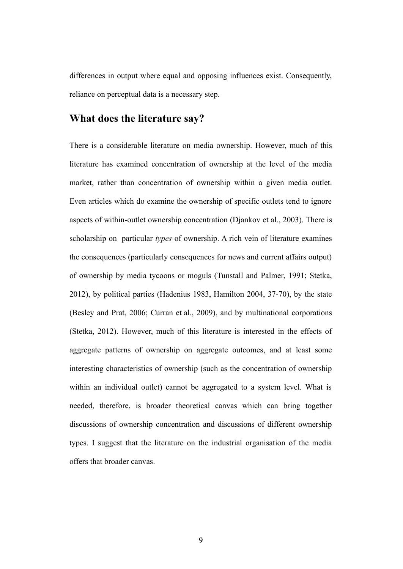differences in output where equal and opposing influences exist. Consequently, reliance on perceptual data is a necessary step.

#### **What does the literature say?**

There is a considerable literature on media ownership. However, much of this literature has examined concentration of ownership at the level of the media market, rather than concentration of ownership within a given media outlet. Even articles which do examine the ownership of specific outlets tend to ignore aspects of within-outlet ownership concentration (Djankov et al., 2003). There is scholarship on particular *types* of ownership. A rich vein of literature examines the consequences (particularly consequences for news and current affairs output) of ownership by media tycoons or moguls (Tunstall and Palmer, 1991; Stetka, 2012), by political parties (Hadenius 1983, Hamilton 2004, 37-70), by the state (Besley and Prat, 2006; Curran et al., 2009), and by multinational corporations (Stetka, 2012). However, much of this literature is interested in the effects of aggregate patterns of ownership on aggregate outcomes, and at least some interesting characteristics of ownership (such as the concentration of ownership within an individual outlet) cannot be aggregated to a system level. What is needed, therefore, is broader theoretical canvas which can bring together discussions of ownership concentration and discussions of different ownership types. I suggest that the literature on the industrial organisation of the media offers that broader canvas.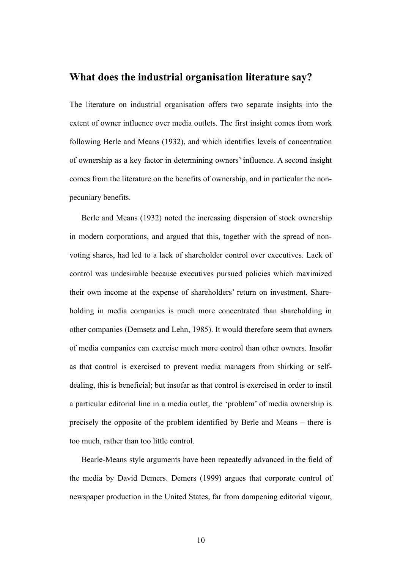#### **What does the industrial organisation literature say?**

The literature on industrial organisation offers two separate insights into the extent of owner influence over media outlets. The first insight comes from work following Berle and Means (1932), and which identifies levels of concentration of ownership as a key factor in determining owners' influence. A second insight comes from the literature on the benefits of ownership, and in particular the nonpecuniary benefits.

Berle and Means (1932) noted the increasing dispersion of stock ownership in modern corporations, and argued that this, together with the spread of nonvoting shares, had led to a lack of shareholder control over executives. Lack of control was undesirable because executives pursued policies which maximized their own income at the expense of shareholders' return on investment. Shareholding in media companies is much more concentrated than shareholding in other companies (Demsetz and Lehn, 1985). It would therefore seem that owners of media companies can exercise much more control than other owners. Insofar as that control is exercised to prevent media managers from shirking or selfdealing, this is beneficial; but insofar as that control is exercised in order to instil a particular editorial line in a media outlet, the 'problem' of media ownership is precisely the opposite of the problem identified by Berle and Means – there is too much, rather than too little control.

Bearle-Means style arguments have been repeatedly advanced in the field of the media by David Demers. Demers (1999) argues that corporate control of newspaper production in the United States, far from dampening editorial vigour,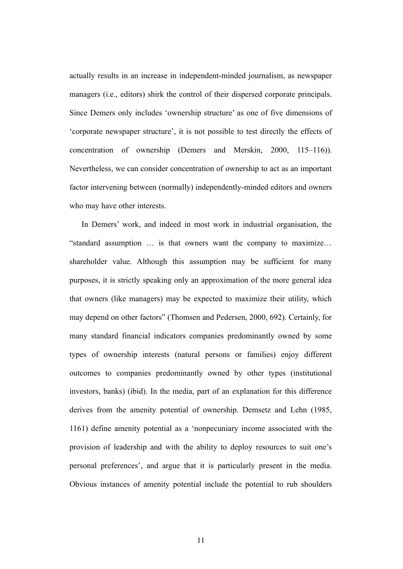actually results in an increase in independent-minded journalism, as newspaper managers (i.e., editors) shirk the control of their dispersed corporate principals. Since Demers only includes 'ownership structure' as one of five dimensions of 'corporate newspaper structure', it is not possible to test directly the effects of concentration of ownership (Demers and Merskin, 2000, 115–116)). Nevertheless, we can consider concentration of ownership to act as an important factor intervening between (normally) independently-minded editors and owners who may have other interests.

In Demers' work, and indeed in most work in industrial organisation, the "standard assumption … is that owners want the company to maximize… shareholder value. Although this assumption may be sufficient for many purposes, it is strictly speaking only an approximation of the more general idea that owners (like managers) may be expected to maximize their utility, which may depend on other factors" (Thomsen and Pedersen, 2000, 692). Certainly, for many standard financial indicators companies predominantly owned by some types of ownership interests (natural persons or families) enjoy different outcomes to companies predominantly owned by other types (institutional investors, banks) (ibid). In the media, part of an explanation for this difference derives from the amenity potential of ownership. Demsetz and Lehn (1985, 1161) define amenity potential as a 'nonpecuniary income associated with the provision of leadership and with the ability to deploy resources to suit one's personal preferences', and argue that it is particularly present in the media. Obvious instances of amenity potential include the potential to rub shoulders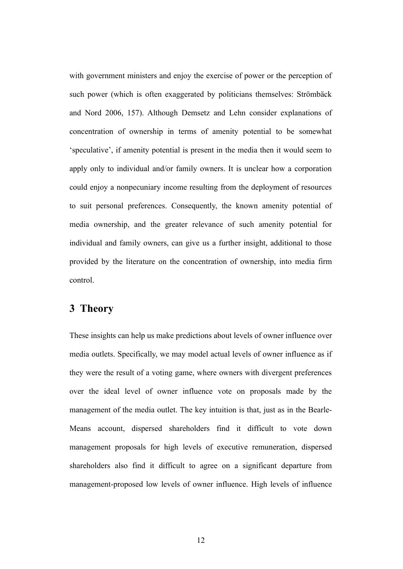with government ministers and enjoy the exercise of power or the perception of such power (which is often exaggerated by politicians themselves: Strömbäck and Nord 2006, 157). Although Demsetz and Lehn consider explanations of concentration of ownership in terms of amenity potential to be somewhat 'speculative', if amenity potential is present in the media then it would seem to apply only to individual and/or family owners. It is unclear how a corporation could enjoy a nonpecuniary income resulting from the deployment of resources to suit personal preferences. Consequently, the known amenity potential of media ownership, and the greater relevance of such amenity potential for individual and family owners, can give us a further insight, additional to those provided by the literature on the concentration of ownership, into media firm control.

#### **3 Theory**

These insights can help us make predictions about levels of owner influence over media outlets. Specifically, we may model actual levels of owner influence as if they were the result of a voting game, where owners with divergent preferences over the ideal level of owner influence vote on proposals made by the management of the media outlet. The key intuition is that, just as in the Bearle-Means account, dispersed shareholders find it difficult to vote down management proposals for high levels of executive remuneration, dispersed shareholders also find it difficult to agree on a significant departure from management-proposed low levels of owner influence. High levels of influence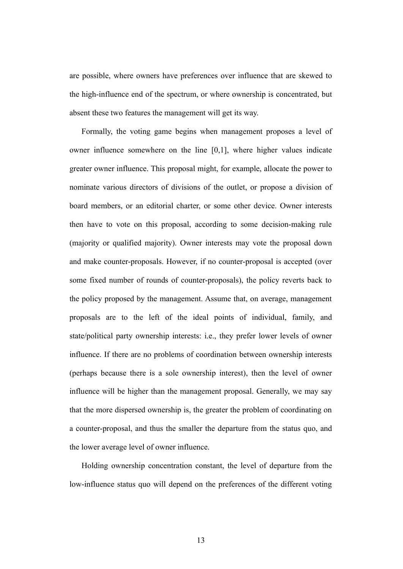are possible, where owners have preferences over influence that are skewed to the high-influence end of the spectrum, or where ownership is concentrated, but absent these two features the management will get its way.

Formally, the voting game begins when management proposes a level of owner influence somewhere on the line [0,1], where higher values indicate greater owner influence. This proposal might, for example, allocate the power to nominate various directors of divisions of the outlet, or propose a division of board members, or an editorial charter, or some other device. Owner interests then have to vote on this proposal, according to some decision-making rule (majority or qualified majority). Owner interests may vote the proposal down and make counter-proposals. However, if no counter-proposal is accepted (over some fixed number of rounds of counter-proposals), the policy reverts back to the policy proposed by the management. Assume that, on average, management proposals are to the left of the ideal points of individual, family, and state/political party ownership interests: i.e., they prefer lower levels of owner influence. If there are no problems of coordination between ownership interests (perhaps because there is a sole ownership interest), then the level of owner influence will be higher than the management proposal. Generally, we may say that the more dispersed ownership is, the greater the problem of coordinating on a counter-proposal, and thus the smaller the departure from the status quo, and the lower average level of owner influence.

Holding ownership concentration constant, the level of departure from the low-influence status quo will depend on the preferences of the different voting

13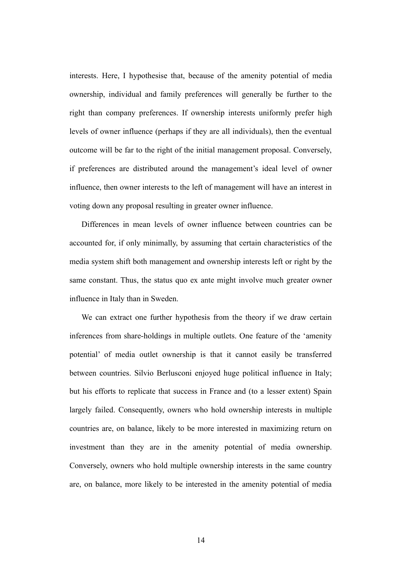interests. Here, I hypothesise that, because of the amenity potential of media ownership, individual and family preferences will generally be further to the right than company preferences. If ownership interests uniformly prefer high levels of owner influence (perhaps if they are all individuals), then the eventual outcome will be far to the right of the initial management proposal. Conversely, if preferences are distributed around the management's ideal level of owner influence, then owner interests to the left of management will have an interest in voting down any proposal resulting in greater owner influence.

Differences in mean levels of owner influence between countries can be accounted for, if only minimally, by assuming that certain characteristics of the media system shift both management and ownership interests left or right by the same constant. Thus, the status quo ex ante might involve much greater owner influence in Italy than in Sweden.

We can extract one further hypothesis from the theory if we draw certain inferences from share-holdings in multiple outlets. One feature of the 'amenity potential' of media outlet ownership is that it cannot easily be transferred between countries. Silvio Berlusconi enjoyed huge political influence in Italy; but his efforts to replicate that success in France and (to a lesser extent) Spain largely failed. Consequently, owners who hold ownership interests in multiple countries are, on balance, likely to be more interested in maximizing return on investment than they are in the amenity potential of media ownership. Conversely, owners who hold multiple ownership interests in the same country are, on balance, more likely to be interested in the amenity potential of media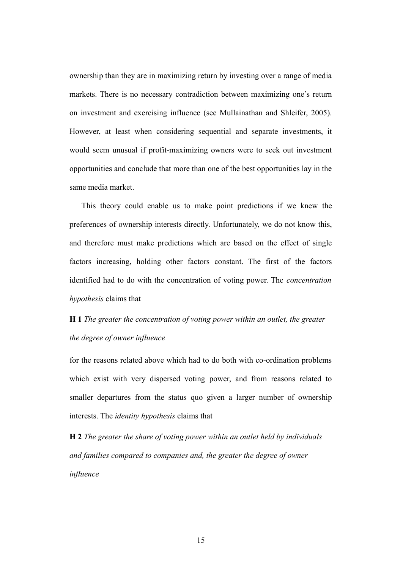ownership than they are in maximizing return by investing over a range of media markets. There is no necessary contradiction between maximizing one's return on investment and exercising influence (see Mullainathan and Shleifer, 2005). However, at least when considering sequential and separate investments, it would seem unusual if profit-maximizing owners were to seek out investment opportunities and conclude that more than one of the best opportunities lay in the same media market.

This theory could enable us to make point predictions if we knew the preferences of ownership interests directly. Unfortunately, we do not know this, and therefore must make predictions which are based on the effect of single factors increasing, holding other factors constant. The first of the factors identified had to do with the concentration of voting power. The *concentration hypothesis* claims that

# **H 1** *The greater the concentration of voting power within an outlet, the greater the degree of owner influence*

for the reasons related above which had to do both with co-ordination problems which exist with very dispersed voting power, and from reasons related to smaller departures from the status quo given a larger number of ownership interests. The *identity hypothesis* claims that

**H 2** *The greater the share of voting power within an outlet held by individuals and families compared to companies and, the greater the degree of owner influence*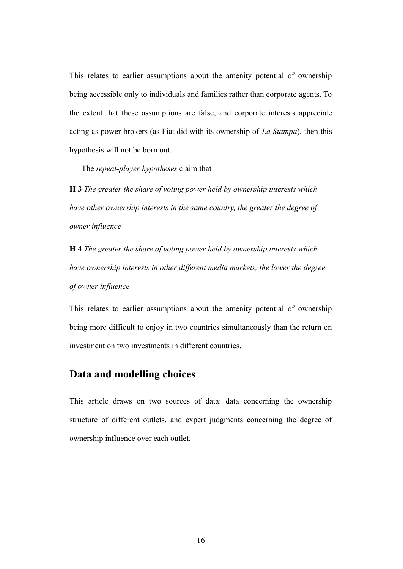This relates to earlier assumptions about the amenity potential of ownership being accessible only to individuals and families rather than corporate agents. To the extent that these assumptions are false, and corporate interests appreciate acting as power-brokers (as Fiat did with its ownership of *La Stampa*), then this hypothesis will not be born out.

The *repeat-player hypotheses* claim that

**H 3** *The greater the share of voting power held by ownership interests which have other ownership interests in the same country, the greater the degree of owner influence* 

**H 4** *The greater the share of voting power held by ownership interests which have ownership interests in other different media markets, the lower the degree of owner influence* 

This relates to earlier assumptions about the amenity potential of ownership being more difficult to enjoy in two countries simultaneously than the return on investment on two investments in different countries.

## **Data and modelling choices**

This article draws on two sources of data: data concerning the ownership structure of different outlets, and expert judgments concerning the degree of ownership influence over each outlet.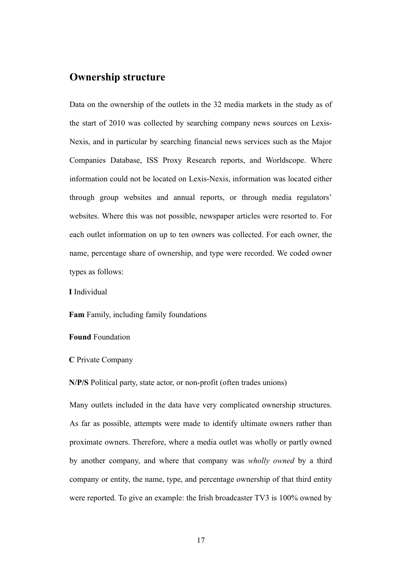#### **Ownership structure**

Data on the ownership of the outlets in the 32 media markets in the study as of the start of 2010 was collected by searching company news sources on Lexis-Nexis, and in particular by searching financial news services such as the Major Companies Database, ISS Proxy Research reports, and Worldscope. Where information could not be located on Lexis-Nexis, information was located either through group websites and annual reports, or through media regulators' websites. Where this was not possible, newspaper articles were resorted to. For each outlet information on up to ten owners was collected. For each owner, the name, percentage share of ownership, and type were recorded. We coded owner types as follows:

**I** Individual

**Fam** Family, including family foundations

**Found** Foundation

**C** Private Company

**N/P/S** Political party, state actor, or non-profit (often trades unions)

Many outlets included in the data have very complicated ownership structures. As far as possible, attempts were made to identify ultimate owners rather than proximate owners. Therefore, where a media outlet was wholly or partly owned by another company, and where that company was *wholly owned* by a third company or entity, the name, type, and percentage ownership of that third entity were reported. To give an example: the Irish broadcaster TV3 is 100% owned by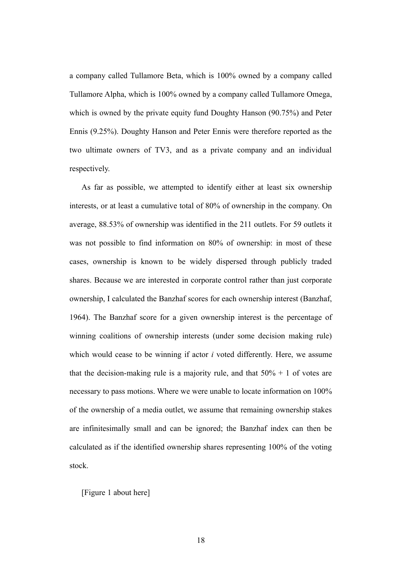a company called Tullamore Beta, which is 100% owned by a company called Tullamore Alpha, which is 100% owned by a company called Tullamore Omega, which is owned by the private equity fund Doughty Hanson (90.75%) and Peter Ennis (9.25%). Doughty Hanson and Peter Ennis were therefore reported as the two ultimate owners of TV3, and as a private company and an individual respectively.

As far as possible, we attempted to identify either at least six ownership interests, or at least a cumulative total of 80% of ownership in the company. On average, 88.53% of ownership was identified in the 211 outlets. For 59 outlets it was not possible to find information on 80% of ownership: in most of these cases, ownership is known to be widely dispersed through publicly traded shares. Because we are interested in corporate control rather than just corporate ownership, I calculated the Banzhaf scores for each ownership interest (Banzhaf, 1964). The Banzhaf score for a given ownership interest is the percentage of winning coalitions of ownership interests (under some decision making rule) which would cease to be winning if actor *i* voted differently. Here, we assume that the decision-making rule is a majority rule, and that  $50\% + 1$  of votes are necessary to pass motions. Where we were unable to locate information on 100% of the ownership of a media outlet, we assume that remaining ownership stakes are infinitesimally small and can be ignored; the Banzhaf index can then be calculated as if the identified ownership shares representing 100% of the voting stock.

[Figure 1 about here]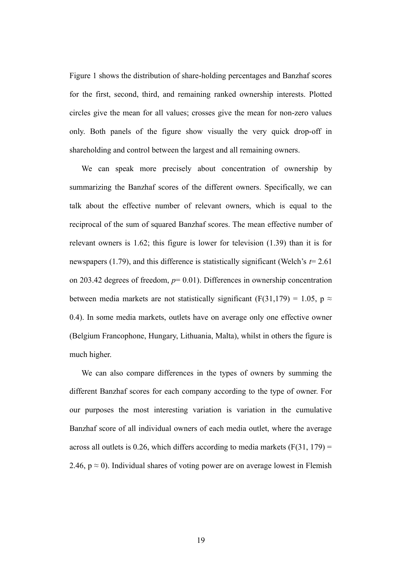Figure 1 shows the distribution of share-holding percentages and Banzhaf scores for the first, second, third, and remaining ranked ownership interests. Plotted circles give the mean for all values; crosses give the mean for non-zero values only. Both panels of the figure show visually the very quick drop-off in shareholding and control between the largest and all remaining owners.

We can speak more precisely about concentration of ownership by summarizing the Banzhaf scores of the different owners. Specifically, we can talk about the effective number of relevant owners, which is equal to the reciprocal of the sum of squared Banzhaf scores. The mean effective number of relevant owners is 1.62; this figure is lower for television (1.39) than it is for newspapers (1.79), and this difference is statistically significant (Welch's *t*= 2.61 on 203.42 degrees of freedom, *p*= 0.01). Differences in ownership concentration between media markets are not statistically significant (F(31,179) = 1.05, p  $\approx$ 0.4). In some media markets, outlets have on average only one effective owner (Belgium Francophone, Hungary, Lithuania, Malta), whilst in others the figure is much higher.

We can also compare differences in the types of owners by summing the different Banzhaf scores for each company according to the type of owner. For our purposes the most interesting variation is variation in the cumulative Banzhaf score of all individual owners of each media outlet, where the average across all outlets is 0.26, which differs according to media markets  $(F(31, 179)) =$ 2.46,  $p \approx 0$ ). Individual shares of voting power are on average lowest in Flemish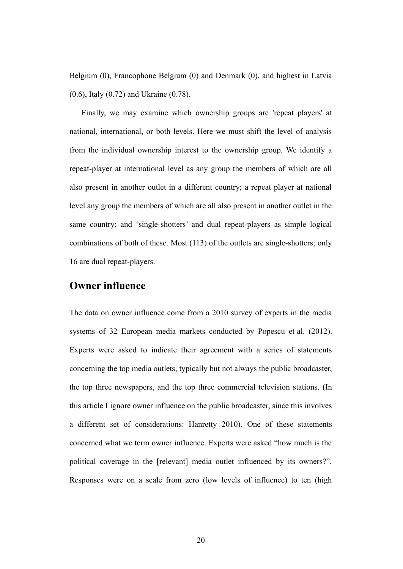Belgium (0), Francophone Belgium (0) and Denmark (0), and highest in Latvia (0.6), Italy (0.72) and Ukraine (0.78).

Finally, we may examine which ownership groups are 'repeat players' at national, international, or both levels. Here we must shift the level of analysis from the individual ownership interest to the ownership group. We identify a repeat-player at international level as any group the members of which are all also present in another outlet in a different country; a repeat player at national level any group the members of which are all also present in another outlet in the same country; and 'single-shotters' and dual repeat-players as simple logical combinations of both of these. Most (113) of the outlets are single-shotters; only 16 are dual repeat-players.

#### **Owner influence**

The data on owner influence come from a 2010 survey of experts in the media systems of 32 European media markets conducted by Popescu et al. (2012). Experts were asked to indicate their agreement with a series of statements concerning the top media outlets, typically but not always the public broadcaster, the top three newspapers, and the top three commercial television stations. (In this article I ignore owner influence on the public broadcaster, since this involves a different set of considerations: Hanretty 2010). One of these statements concerned what we term owner influence. Experts were asked "how much is the political coverage in the [relevant] media outlet influenced by its owners?". Responses were on a scale from zero (low levels of influence) to ten (high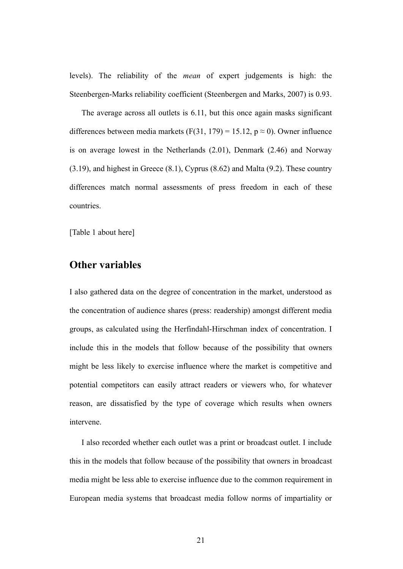levels). The reliability of the *mean* of expert judgements is high: the Steenbergen-Marks reliability coefficient (Steenbergen and Marks, 2007) is 0.93.

The average across all outlets is 6.11, but this once again masks significant differences between media markets (F(31, 179) = 15.12,  $p \approx 0$ ). Owner influence is on average lowest in the Netherlands (2.01), Denmark (2.46) and Norway (3.19), and highest in Greece (8.1), Cyprus (8.62) and Malta (9.2). These country differences match normal assessments of press freedom in each of these countries.

[Table 1 about here]

#### **Other variables**

I also gathered data on the degree of concentration in the market, understood as the concentration of audience shares (press: readership) amongst different media groups, as calculated using the Herfindahl-Hirschman index of concentration. I include this in the models that follow because of the possibility that owners might be less likely to exercise influence where the market is competitive and potential competitors can easily attract readers or viewers who, for whatever reason, are dissatisfied by the type of coverage which results when owners intervene.

I also recorded whether each outlet was a print or broadcast outlet. I include this in the models that follow because of the possibility that owners in broadcast media might be less able to exercise influence due to the common requirement in European media systems that broadcast media follow norms of impartiality or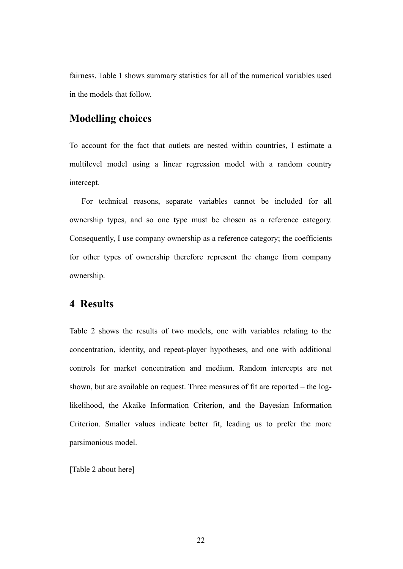fairness. Table 1 shows summary statistics for all of the numerical variables used in the models that follow.

## **Modelling choices**

To account for the fact that outlets are nested within countries, I estimate a multilevel model using a linear regression model with a random country intercept.

For technical reasons, separate variables cannot be included for all ownership types, and so one type must be chosen as a reference category. Consequently, I use company ownership as a reference category; the coefficients for other types of ownership therefore represent the change from company ownership.

## **4 Results**

Table 2 shows the results of two models, one with variables relating to the concentration, identity, and repeat-player hypotheses, and one with additional controls for market concentration and medium. Random intercepts are not shown, but are available on request. Three measures of fit are reported – the loglikelihood, the Akaike Information Criterion, and the Bayesian Information Criterion. Smaller values indicate better fit, leading us to prefer the more parsimonious model.

[Table 2 about here]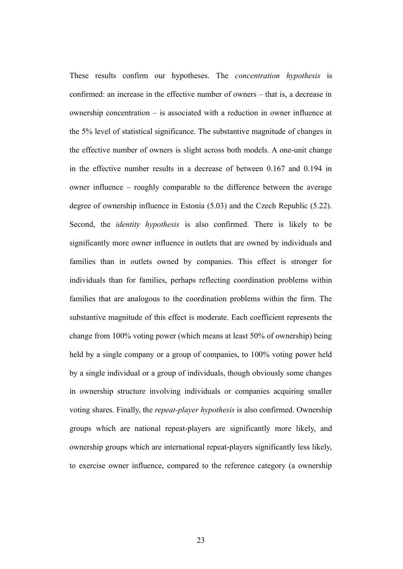These results confirm our hypotheses. The *concentration hypothesis* is confirmed: an increase in the effective number of owners – that is, a decrease in ownership concentration – is associated with a reduction in owner influence at the 5% level of statistical significance. The substantive magnitude of changes in the effective number of owners is slight across both models. A one-unit change in the effective number results in a decrease of between 0.167 and 0.194 in owner influence – roughly comparable to the difference between the average degree of ownership influence in Estonia (5.03) and the Czech Republic (5.22). Second, the *identity hypothesis* is also confirmed. There is likely to be significantly more owner influence in outlets that are owned by individuals and families than in outlets owned by companies. This effect is stronger for individuals than for families, perhaps reflecting coordination problems within families that are analogous to the coordination problems within the firm. The substantive magnitude of this effect is moderate. Each coefficient represents the change from 100% voting power (which means at least 50% of ownership) being held by a single company or a group of companies, to 100% voting power held by a single individual or a group of individuals, though obviously some changes in ownership structure involving individuals or companies acquiring smaller voting shares. Finally, the *repeat-player hypothesis* is also confirmed. Ownership groups which are national repeat-players are significantly more likely, and ownership groups which are international repeat-players significantly less likely, to exercise owner influence, compared to the reference category (a ownership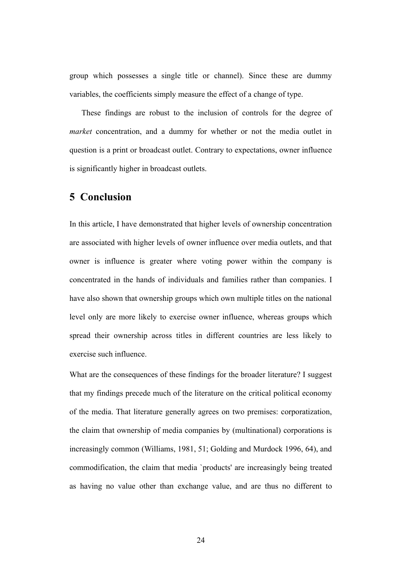group which possesses a single title or channel). Since these are dummy variables, the coefficients simply measure the effect of a change of type.

These findings are robust to the inclusion of controls for the degree of *market* concentration, and a dummy for whether or not the media outlet in question is a print or broadcast outlet. Contrary to expectations, owner influence is significantly higher in broadcast outlets.

### **5 Conclusion**

In this article, I have demonstrated that higher levels of ownership concentration are associated with higher levels of owner influence over media outlets, and that owner is influence is greater where voting power within the company is concentrated in the hands of individuals and families rather than companies. I have also shown that ownership groups which own multiple titles on the national level only are more likely to exercise owner influence, whereas groups which spread their ownership across titles in different countries are less likely to exercise such influence.

What are the consequences of these findings for the broader literature? I suggest that my findings precede much of the literature on the critical political economy of the media. That literature generally agrees on two premises: corporatization, the claim that ownership of media companies by (multinational) corporations is increasingly common (Williams, 1981, 51; Golding and Murdock 1996, 64), and commodification, the claim that media `products' are increasingly being treated as having no value other than exchange value, and are thus no different to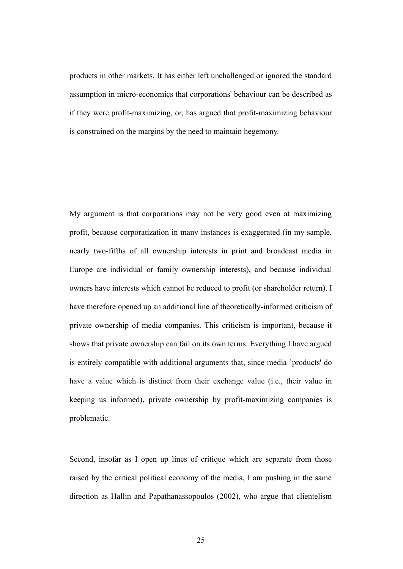products in other markets. It has either left unchallenged or ignored the standard assumption in micro-economics that corporations' behaviour can be described as if they were profit-maximizing, or, has argued that profit-maximizing behaviour is constrained on the margins by the need to maintain hegemony.

My argument is that corporations may not be very good even at maximizing profit, because corporatization in many instances is exaggerated (in my sample, nearly two-fifths of all ownership interests in print and broadcast media in Europe are individual or family ownership interests), and because individual owners have interests which cannot be reduced to profit (or shareholder return). I have therefore opened up an additional line of theoretically-informed criticism of private ownership of media companies. This criticism is important, because it shows that private ownership can fail on its own terms. Everything I have argued is entirely compatible with additional arguments that, since media `products' do have a value which is distinct from their exchange value (i.e., their value in keeping us informed), private ownership by profit-maximizing companies is problematic.

Second, insofar as I open up lines of critique which are separate from those raised by the critical political economy of the media, I am pushing in the same direction as Hallin and Papathanassopoulos (2002), who argue that clientelism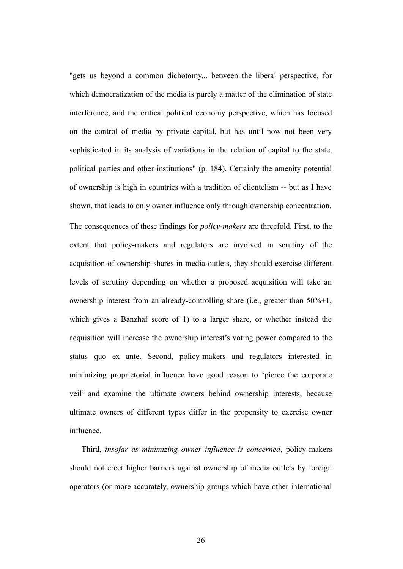"gets us beyond a common dichotomy... between the liberal perspective, for which democratization of the media is purely a matter of the elimination of state interference, and the critical political economy perspective, which has focused on the control of media by private capital, but has until now not been very sophisticated in its analysis of variations in the relation of capital to the state, political parties and other institutions" (p. 184). Certainly the amenity potential of ownership is high in countries with a tradition of clientelism -- but as I have shown, that leads to only owner influence only through ownership concentration. The consequences of these findings for *policy-makers* are threefold. First, to the extent that policy-makers and regulators are involved in scrutiny of the acquisition of ownership shares in media outlets, they should exercise different levels of scrutiny depending on whether a proposed acquisition will take an ownership interest from an already-controlling share (i.e., greater than 50%+1, which gives a Banzhaf score of 1) to a larger share, or whether instead the acquisition will increase the ownership interest's voting power compared to the status quo ex ante. Second, policy-makers and regulators interested in minimizing proprietorial influence have good reason to 'pierce the corporate veil' and examine the ultimate owners behind ownership interests, because ultimate owners of different types differ in the propensity to exercise owner influence.

Third, *insofar as minimizing owner influence is concerned*, policy-makers should not erect higher barriers against ownership of media outlets by foreign operators (or more accurately, ownership groups which have other international

26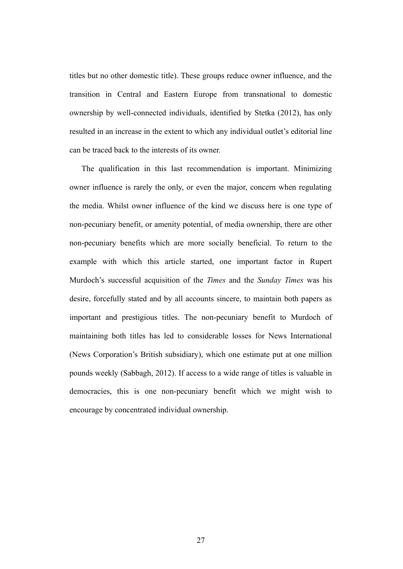titles but no other domestic title). These groups reduce owner influence, and the transition in Central and Eastern Europe from transnational to domestic ownership by well-connected individuals, identified by Stetka (2012), has only resulted in an increase in the extent to which any individual outlet's editorial line can be traced back to the interests of its owner.

The qualification in this last recommendation is important. Minimizing owner influence is rarely the only, or even the major, concern when regulating the media. Whilst owner influence of the kind we discuss here is one type of non-pecuniary benefit, or amenity potential, of media ownership, there are other non-pecuniary benefits which are more socially beneficial. To return to the example with which this article started, one important factor in Rupert Murdoch's successful acquisition of the *Times* and the *Sunday Times* was his desire, forcefully stated and by all accounts sincere, to maintain both papers as important and prestigious titles. The non-pecuniary benefit to Murdoch of maintaining both titles has led to considerable losses for News International (News Corporation's British subsidiary), which one estimate put at one million pounds weekly (Sabbagh, 2012). If access to a wide range of titles is valuable in democracies, this is one non-pecuniary benefit which we might wish to encourage by concentrated individual ownership.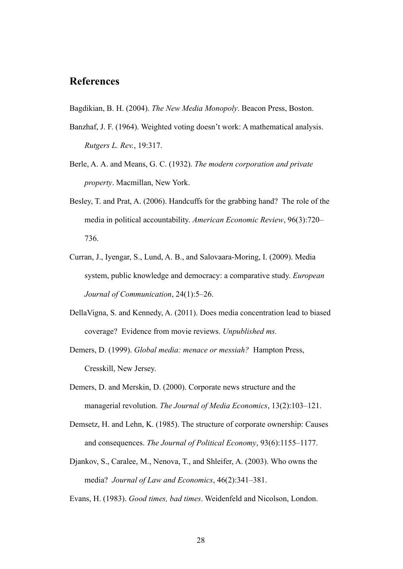# **References**

Bagdikian, B. H. (2004). *The New Media Monopoly*. Beacon Press, Boston.

- Banzhaf, J. F. (1964). Weighted voting doesn't work: A mathematical analysis. *Rutgers L. Rev.*, 19:317.
- Berle, A. A. and Means, G. C. (1932). *The modern corporation and private property*. Macmillan, New York.
- Besley, T. and Prat, A. (2006). Handcuffs for the grabbing hand? The role of the media in political accountability. *American Economic Review*, 96(3):720– 736.
- Curran, J., Iyengar, S., Lund, A. B., and Salovaara-Moring, I. (2009). Media system, public knowledge and democracy: a comparative study. *European Journal of Communication*, 24(1):5–26.
- DellaVigna, S. and Kennedy, A. (2011). Does media concentration lead to biased coverage? Evidence from movie reviews. *Unpublished ms.*
- Demers, D. (1999). *Global media: menace or messiah?* Hampton Press, Cresskill, New Jersey.
- Demers, D. and Merskin, D. (2000). Corporate news structure and the managerial revolution. *The Journal of Media Economics*, 13(2):103–121.
- Demsetz, H. and Lehn, K. (1985). The structure of corporate ownership: Causes and consequences. *The Journal of Political Economy*, 93(6):1155–1177.
- Djankov, S., Caralee, M., Nenova, T., and Shleifer, A. (2003). Who owns the media? *Journal of Law and Economics*, 46(2):341–381.
- Evans, H. (1983). *Good times, bad times*. Weidenfeld and Nicolson, London.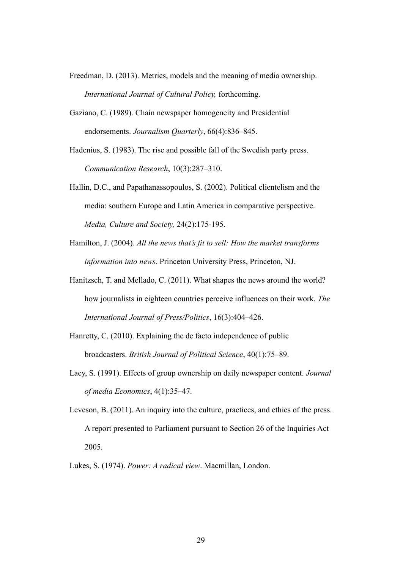- Freedman, D. (2013). Metrics, models and the meaning of media ownership. *International Journal of Cultural Policy,* forthcoming.
- Gaziano, C. (1989). Chain newspaper homogeneity and Presidential endorsements. *Journalism Quarterly*, 66(4):836–845.

Hadenius, S. (1983). The rise and possible fall of the Swedish party press. *Communication Research*, 10(3):287–310.

- Hallin, D.C., and Papathanassopoulos, S. (2002). Political clientelism and the media: southern Europe and Latin America in comparative perspective. *Media, Culture and Society,* 24(2):175-195.
- Hamilton, J. (2004). *All the news that's fit to sell: How the market transforms information into news*. Princeton University Press, Princeton, NJ.
- Hanitzsch, T. and Mellado, C. (2011). What shapes the news around the world? how journalists in eighteen countries perceive influences on their work. *The International Journal of Press/Politics*, 16(3):404–426.
- Hanretty, C. (2010). Explaining the de facto independence of public broadcasters. *British Journal of Political Science*, 40(1):75–89.
- Lacy, S. (1991). Effects of group ownership on daily newspaper content. *Journal of media Economics*, 4(1):35–47.
- Leveson, B. (2011). An inquiry into the culture, practices, and ethics of the press. A report presented to Parliament pursuant to Section 26 of the Inquiries Act 2005.
- Lukes, S. (1974). *Power: A radical view*. Macmillan, London.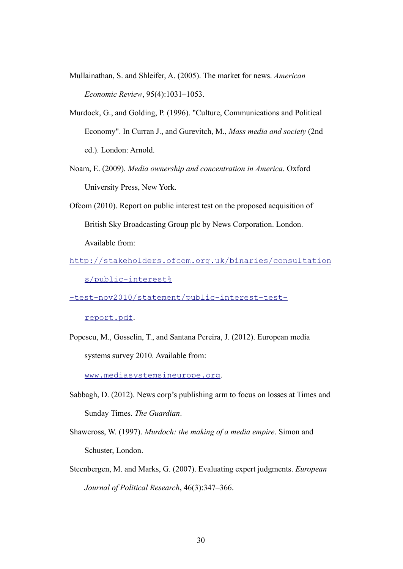- Mullainathan, S. and Shleifer, A. (2005). The market for news. *American Economic Review*, 95(4):1031–1053.
- Murdock, G., and Golding, P. (1996). "Culture, Communications and Political Economy". In Curran J., and Gurevitch, M., *Mass media and society* (2nd ed.). London: Arnold.
- Noam, E. (2009). *Media ownership and concentration in America*. Oxford University Press, New York.
- Ofcom (2010). Report on public interest test on the proposed acquisition of British Sky Broadcasting Group plc by News Corporation. London. Available from:
- [http://stakeholders.ofcom.org.uk/binaries/consultation](http://stakeholders.ofcom.org.uk/binaries/consultations/public-interest%25-test-nov2010/statement/public-interest-test-report.pdf) [s/public-interest%](http://stakeholders.ofcom.org.uk/binaries/consultations/public-interest%25-test-nov2010/statement/public-interest-test-report.pdf)

[-test-nov2010/statement/public-interest-test-](http://stakeholders.ofcom.org.uk/binaries/consultations/public-interest%25-test-nov2010/statement/public-interest-test-report.pdf)

[report.pdf](http://stakeholders.ofcom.org.uk/binaries/consultations/public-interest%25-test-nov2010/statement/public-interest-test-report.pdf).

Popescu, M., Gosselin, T., and Santana Pereira, J. (2012). European media systems survey 2010. Available from:

www.mediasystemsineurope.org.

- Sabbagh, D. (2012). News corp's publishing arm to focus on losses at Times and Sunday Times. *The Guardian*.
- Shawcross, W. (1997). *Murdoch: the making of a media empire*. Simon and Schuster, London.
- Steenbergen, M. and Marks, G. (2007). Evaluating expert judgments. *European Journal of Political Research*, 46(3):347–366.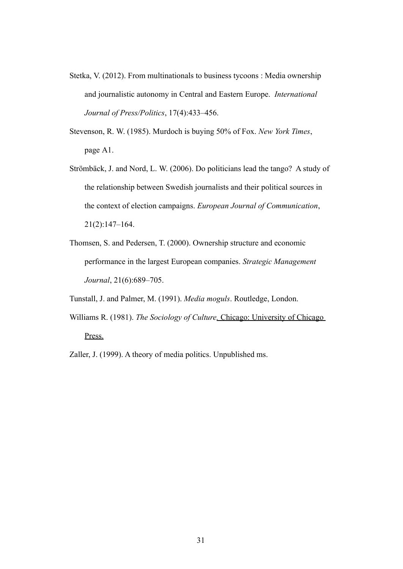- Stetka, V. (2012). From multinationals to business tycoons : Media ownership and journalistic autonomy in Central and Eastern Europe. *International Journal of Press/Politics*, 17(4):433–456.
- Stevenson, R. W. (1985). Murdoch is buying 50% of Fox. *New York Times*, page A1.
- Strömbäck, J. and Nord, L. W. (2006). Do politicians lead the tango? A study of the relationship between Swedish journalists and their political sources in the context of election campaigns. *European Journal of Communication*, 21(2):147–164.
- Thomsen, S. and Pedersen, T. (2000). Ownership structure and economic performance in the largest European companies. *Strategic Management Journal*, 21(6):689–705.

Tunstall, J. and Palmer, M. (1991). *Media moguls*. Routledge, London.

Williams R. (1981). *The Sociology of Culture*. *Chicago: University of Chicago* Press.

Zaller, J. (1999). A theory of media politics. Unpublished ms.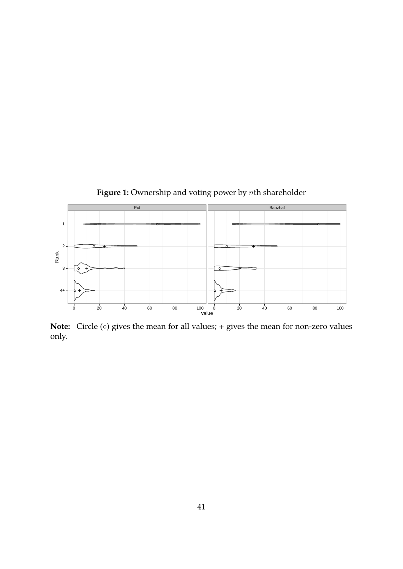

**Note:** Circle (*◦*) gives the mean for all values; + gives the mean for non-zero values only.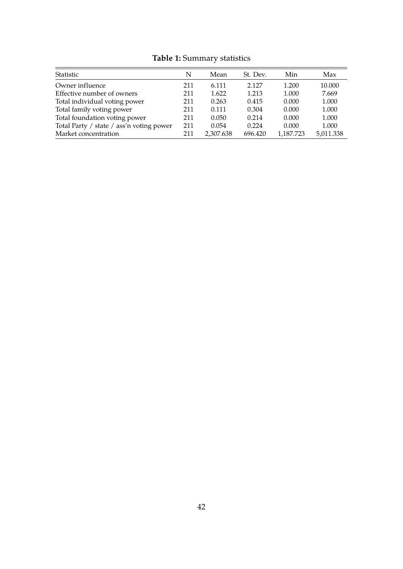| Statistic                                | N   | Mean      | St. Dev. | Min       | Max       |
|------------------------------------------|-----|-----------|----------|-----------|-----------|
| Owner influence                          | 211 | 6.111     | 2.127    | 1.200     | 10.000    |
| Effective number of owners               | 211 | 1.622     | 1.213    | 1.000     | 7.669     |
| Total individual voting power            | 211 | 0.263     | 0.415    | 0.000     | 1.000     |
| Total family voting power                | 211 | 0.111     | 0.304    | 0.000     | 1.000     |
| Total foundation voting power            | 211 | 0.050     | 0.214    | 0.000     | 1.000     |
| Total Party / state / ass'n voting power | 211 | 0.054     | 0.224    | 0.000     | 1.000     |
| Market concentration                     | 211 | 2,307.638 | 696.420  | 1,187.723 | 5,011.338 |

**Table 1:** Summary statistics